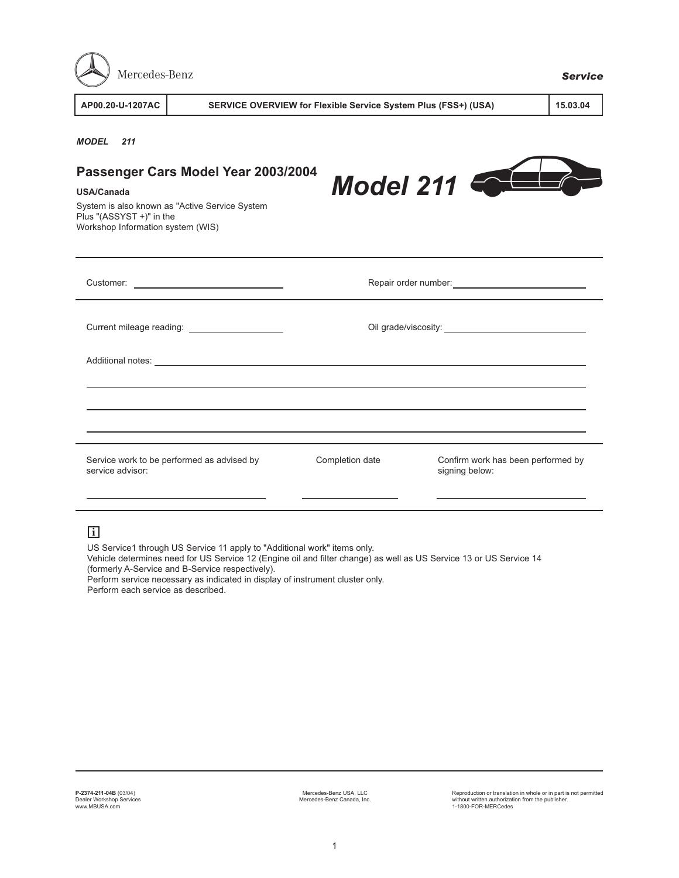

Service work to be performed as advised by

Completion date Confirm work has been performed by signing below:

## **i**

Additional notes:

service advisor:

US Service1 through US Service 11 apply to "Additional work" items only.

Vehicle determines need for US Service 12 (Engine oil and filter change) as well as US Service 13 or US Service 14 (formerly A-Service and B-Service respectively).

Perform service necessary as indicated in display of instrument cluster only.

Perform each service as described.

Mercedes-Benz USA, LLC Mercedes-Benz Canada, Inc.

Reproduction or translation in whole or in part is not permitted without written authorization from the publisher. 1-1800-FOR-MERCedes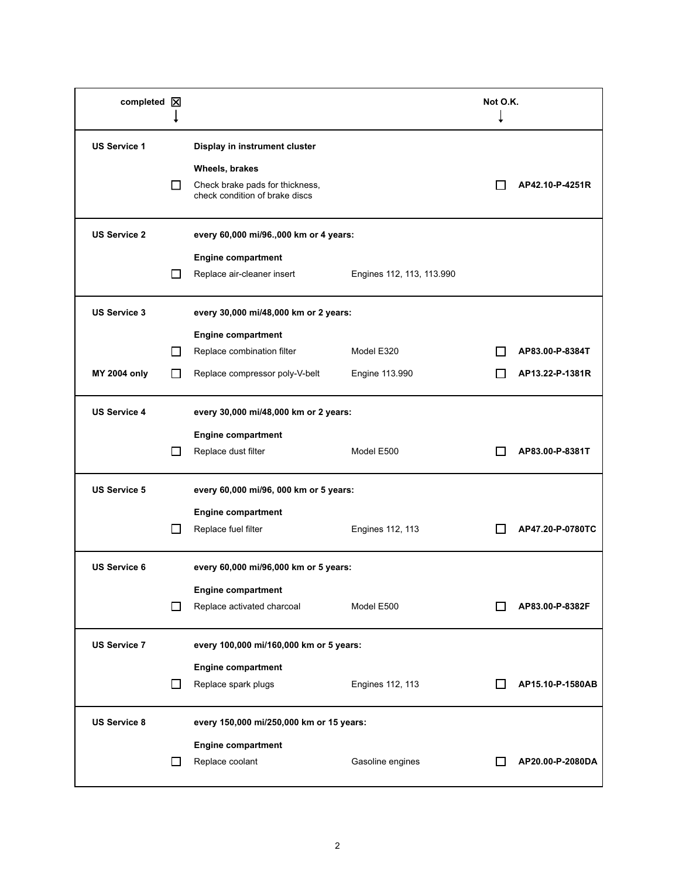| completed $\boxed{\times}$ |              |                                                                   |                           | Not O.K. |                  |
|----------------------------|--------------|-------------------------------------------------------------------|---------------------------|----------|------------------|
| <b>US Service 1</b>        |              | Display in instrument cluster                                     |                           |          |                  |
|                            |              | Wheels, brakes                                                    |                           |          |                  |
|                            | $\mathsf{L}$ | Check brake pads for thickness,<br>check condition of brake discs |                           |          | AP42.10-P-4251R  |
| <b>US Service 2</b>        |              | every 60,000 mi/96.,000 km or 4 years:                            |                           |          |                  |
|                            |              | <b>Engine compartment</b>                                         |                           |          |                  |
|                            | ΙI           | Replace air-cleaner insert                                        | Engines 112, 113, 113.990 |          |                  |
| <b>US Service 3</b>        |              | every 30,000 mi/48,000 km or 2 years:                             |                           |          |                  |
|                            |              | <b>Engine compartment</b>                                         |                           |          |                  |
|                            | ΙI           | Replace combination filter                                        | Model E320                |          | AP83.00-P-8384T  |
| <b>MY 2004 only</b>        | ΙI           | Replace compressor poly-V-belt                                    | Engine 113.990            |          | AP13.22-P-1381R  |
| <b>US Service 4</b>        |              | every 30,000 mi/48,000 km or 2 years:                             |                           |          |                  |
|                            |              | <b>Engine compartment</b>                                         |                           |          |                  |
|                            |              | Replace dust filter                                               | Model E500                |          | AP83.00-P-8381T  |
| <b>US Service 5</b>        |              | every 60,000 mi/96, 000 km or 5 years:                            |                           |          |                  |
|                            |              | <b>Engine compartment</b>                                         |                           |          |                  |
|                            | ΙI           | Replace fuel filter                                               | <b>Engines 112, 113</b>   |          | AP47.20-P-0780TC |
| <b>US Service 6</b>        |              | every 60,000 mi/96,000 km or 5 years:                             |                           |          |                  |
|                            |              | <b>Engine compartment</b>                                         |                           |          |                  |
|                            | l 1          | Replace activated charcoal                                        | Model E500                |          | AP83.00-P-8382F  |
| <b>US Service 7</b>        |              | every 100,000 mi/160,000 km or 5 years:                           |                           |          |                  |
|                            |              | <b>Engine compartment</b>                                         |                           |          |                  |
|                            | П            | Replace spark plugs                                               | Engines 112, 113          |          | AP15.10-P-1580AB |
| <b>US Service 8</b>        |              | every 150,000 mi/250,000 km or 15 years:                          |                           |          |                  |
|                            |              | <b>Engine compartment</b>                                         |                           |          |                  |
|                            | U            | Replace coolant                                                   | Gasoline engines          |          | AP20.00-P-2080DA |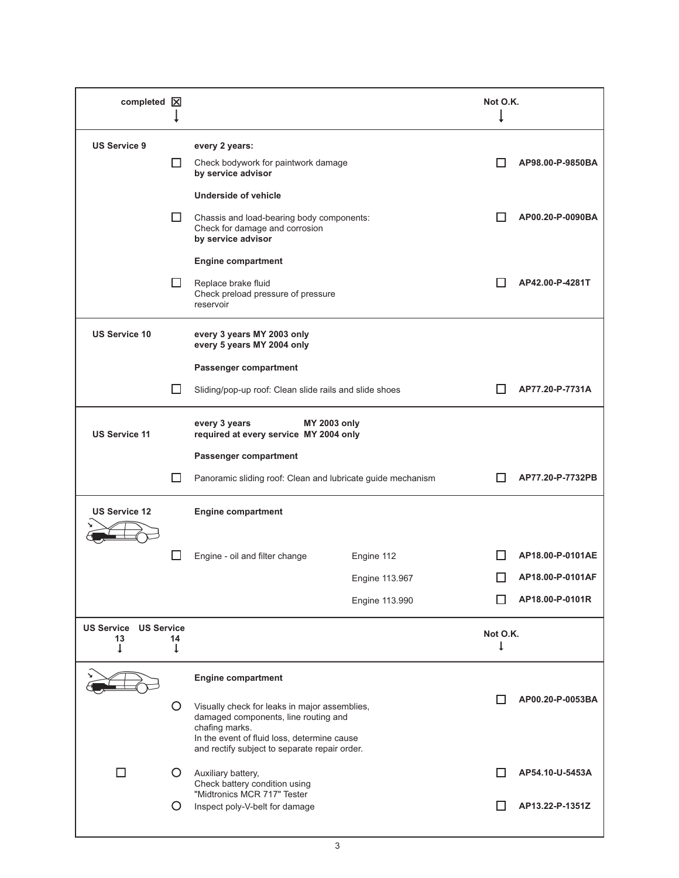| completed $ \overline{\mathsf{X}} $               |         |                                                                                                                                                                                                         |                | Not O.K.      |                  |
|---------------------------------------------------|---------|---------------------------------------------------------------------------------------------------------------------------------------------------------------------------------------------------------|----------------|---------------|------------------|
| <b>US Service 9</b>                               |         | every 2 years:                                                                                                                                                                                          |                |               |                  |
|                                                   | LΙ      | Check bodywork for paintwork damage<br>by service advisor                                                                                                                                               |                |               | AP98.00-P-9850BA |
|                                                   |         | <b>Underside of vehicle</b>                                                                                                                                                                             |                |               |                  |
|                                                   | Ħ       | Chassis and load-bearing body components:<br>Check for damage and corrosion<br>by service advisor                                                                                                       |                |               | AP00.20-P-0090BA |
|                                                   |         | <b>Engine compartment</b>                                                                                                                                                                               |                |               |                  |
|                                                   | LΙ      | Replace brake fluid<br>Check preload pressure of pressure<br>reservoir                                                                                                                                  |                |               | AP42.00-P-4281T  |
| <b>US Service 10</b>                              |         | every 3 years MY 2003 only<br>every 5 years MY 2004 only                                                                                                                                                |                |               |                  |
|                                                   |         | Passenger compartment                                                                                                                                                                                   |                |               |                  |
|                                                   | LΙ      | Sliding/pop-up roof: Clean slide rails and slide shoes                                                                                                                                                  |                |               | AP77.20-P-7731A  |
| <b>US Service 11</b>                              |         | every 3 years<br><b>MY 2003 only</b><br>required at every service MY 2004 only                                                                                                                          |                |               |                  |
|                                                   |         | Passenger compartment                                                                                                                                                                                   |                |               |                  |
|                                                   | $\Box$  | Panoramic sliding roof: Clean and lubricate guide mechanism                                                                                                                                             |                |               | AP77.20-P-7732PB |
| <b>US Service 12</b>                              |         | <b>Engine compartment</b>                                                                                                                                                                               |                |               |                  |
|                                                   | ΙI      | Engine - oil and filter change                                                                                                                                                                          | Engine 112     |               | AP18.00-P-0101AE |
|                                                   |         |                                                                                                                                                                                                         | Engine 113.967 |               | AP18.00-P-0101AF |
|                                                   |         |                                                                                                                                                                                                         | Engine 113.990 |               | AP18.00-P-0101R  |
| <b>US Service</b><br><b>US Service</b><br>13<br>T | 14<br>Ť |                                                                                                                                                                                                         |                | Not O.K.<br>T |                  |
|                                                   |         | <b>Engine compartment</b>                                                                                                                                                                               |                |               |                  |
|                                                   | O       | Visually check for leaks in major assemblies,<br>damaged components, line routing and<br>chafing marks.<br>In the event of fluid loss, determine cause<br>and rectify subject to separate repair order. |                |               | AP00.20-P-0053BA |
| П                                                 | Ő       | Auxiliary battery,<br>Check battery condition using                                                                                                                                                     |                |               | AP54.10-U-5453A  |
|                                                   | O       | "Midtronics MCR 717" Tester<br>Inspect poly-V-belt for damage                                                                                                                                           |                |               | AP13.22-P-1351Z  |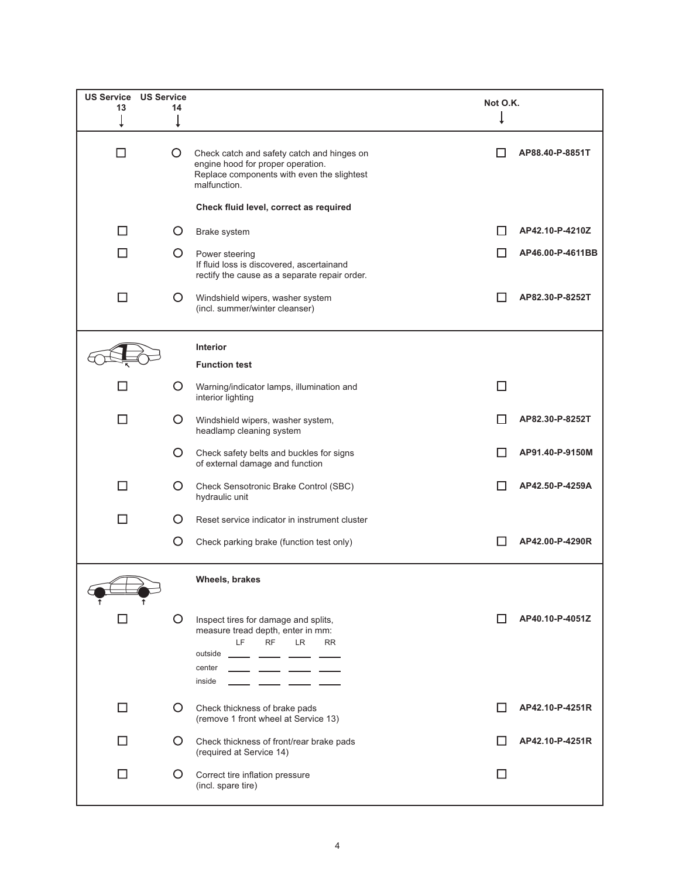| <b>US Service US Service</b><br>13 | 14 |                                                                                                                                                 | Not O.K. |                  |
|------------------------------------|----|-------------------------------------------------------------------------------------------------------------------------------------------------|----------|------------------|
| П                                  | O  | Check catch and safety catch and hinges on<br>engine hood for proper operation.<br>Replace components with even the slightest<br>malfunction.   |          | AP88.40-P-8851T  |
|                                    |    | Check fluid level, correct as required                                                                                                          |          |                  |
| l 1                                | Ő  | Brake system                                                                                                                                    |          | AP42.10-P-4210Z  |
|                                    | Ő  | Power steering<br>If fluid loss is discovered, ascertainand<br>rectify the cause as a separate repair order.                                    |          | AP46.00-P-4611BB |
| П                                  | O  | Windshield wipers, washer system<br>(incl. summer/winter cleanser)                                                                              |          | AP82.30-P-8252T  |
|                                    |    | <b>Interior</b>                                                                                                                                 |          |                  |
|                                    |    | <b>Function test</b>                                                                                                                            |          |                  |
|                                    | O  | Warning/indicator lamps, illumination and<br>interior lighting                                                                                  | П        |                  |
|                                    | O  | Windshield wipers, washer system,<br>headlamp cleaning system                                                                                   |          | AP82.30-P-8252T  |
|                                    | O  | Check safety belts and buckles for signs<br>of external damage and function                                                                     |          | AP91.40-P-9150M  |
|                                    | O  | Check Sensotronic Brake Control (SBC)<br>hydraulic unit                                                                                         |          | AP42.50-P-4259A  |
| П                                  | O  | Reset service indicator in instrument cluster                                                                                                   |          |                  |
|                                    | O  | Check parking brake (function test only)                                                                                                        |          | AP42.00-P-4290R  |
|                                    |    | <b>Wheels, brakes</b>                                                                                                                           |          |                  |
| П                                  | O  | Inspect tires for damage and splits,<br>measure tread depth, enter in mm:<br>LF<br><b>RF</b><br>LR.<br><b>RR</b><br>outside<br>center<br>inside |          | AP40.10-P-4051Z  |
| ΙI                                 | O  | Check thickness of brake pads<br>(remove 1 front wheel at Service 13)                                                                           |          | AP42.10-P-4251R  |
|                                    | O  | Check thickness of front/rear brake pads<br>(required at Service 14)                                                                            |          | AP42.10-P-4251R  |
| ΙI                                 | O  | Correct tire inflation pressure<br>(incl. spare tire)                                                                                           |          |                  |